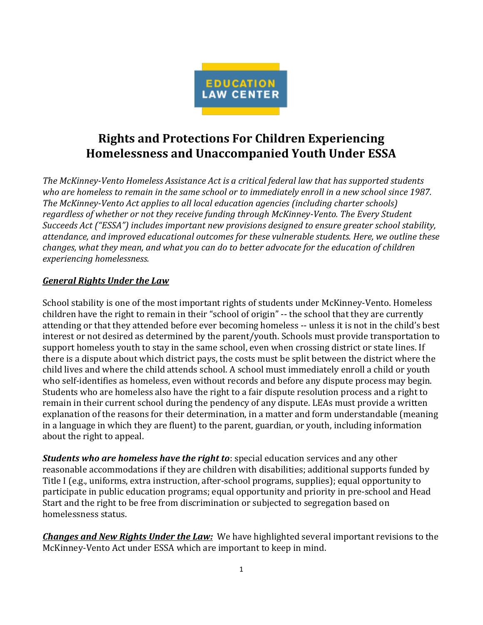

## **Rights and Protections For Children Experiencing Homelessness and Unaccompanied Youth Under ESSA**

*The McKinney-Vento Homeless Assistance Act is a critical federal law that has supported students who are homeless to remain in the same school or to immediately enroll in a new school since 1987. The McKinney-Vento Act applies to all local education agencies (including charter schools) regardless of whether or not they receive funding through McKinney-Vento. The Every Student Succeeds Act ("ESSA") includes important new provisions designed to ensure greater school stability, attendance, and improved educational outcomes for these vulnerable students. Here, we outline these changes, what they mean, and what you can do to better advocate for the education of children experiencing homelessness.* 

## *General Rights Under the Law*

School stability is one of the most important rights of students under McKinney-Vento. Homeless children have the right to remain in their "school of origin" -- the school that they are currently attending or that they attended before ever becoming homeless -- unless it is not in the child's best interest or not desired as determined by the parent/youth. Schools must provide transportation to support homeless youth to stay in the same school, even when crossing district or state lines. If there is a dispute about which district pays, the costs must be split between the district where the child lives and where the child attends school. A school must immediately enroll a child or youth who self-identifies as homeless, even without records and before any dispute process may begin. Students who are homeless also have the right to a fair dispute resolution process and a right to remain in their current school during the pendency of any dispute. LEAs must provide a written explanation of the reasons for their determination, in a matter and form understandable (meaning in a language in which they are fluent) to the parent, guardian, or youth, including information about the right to appeal.

*Students who are homeless have the right to*: special education services and any other reasonable accommodations if they are children with disabilities; additional supports funded by Title I (e.g., uniforms, extra instruction, after-school programs, supplies); equal opportunity to participate in public education programs; equal opportunity and priority in pre-school and Head Start and the right to be free from discrimination or subjected to segregation based on homelessness status.

*Changes and New Rights Under the Law:* We have highlighted several important revisions to the McKinney-Vento Act under ESSA which are important to keep in mind.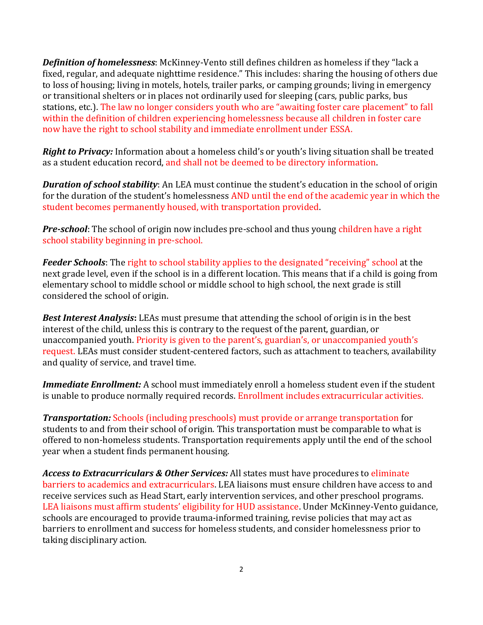*Definition of homelessness*: McKinney-Vento still defines children as homeless if they "lack a fixed, regular, and adequate nighttime residence." This includes: sharing the housing of others due to loss of housing; living in motels, hotels, trailer parks, or camping grounds; living in emergency or transitional shelters or in places not ordinarily used for sleeping (cars, public parks, bus stations, etc.). The law no longer considers youth who are "awaiting foster care placement" to fall within the definition of children experiencing homelessness because all children in foster care now have the right to school stability and immediate enrollment under ESSA.

*Right to Privacy:* Information about a homeless child's or youth's living situation shall be treated as a student education record, and shall not be deemed to be directory information.

*Duration of school stability*: An LEA must continue the student's education in the school of origin for the duration of the student's homelessness AND until the end of the academic year in which the student becomes permanently housed, with transportation provided.

**Pre-school**: The school of origin now includes pre-school and thus young children have a right school stability beginning in pre-school.

*Feeder Schools*: The right to school stability applies to the designated "receiving" school at the next grade level, even if the school is in a different location. This means that if a child is going from elementary school to middle school or middle school to high school, the next grade is still considered the school of origin.

*Best Interest Analysis***:** LEAs must presume that attending the school of origin is in the best interest of the child, unless this is contrary to the request of the parent, guardian, or unaccompanied youth. Priority is given to the parent's, guardian's, or unaccompanied youth's request. LEAs must consider student-centered factors, such as attachment to teachers, availability and quality of service, and travel time.

*Immediate Enrollment:* A school must immediately enroll a homeless student even if the student is unable to produce normally required records. Enrollment includes extracurricular activities.

*Transportation:* Schools (including preschools) must provide or arrange transportation for students to and from their school of origin. This transportation must be comparable to what is offered to non-homeless students. Transportation requirements apply until the end of the school year when a student finds permanent housing.

*Access to Extracurriculars & Other Services:* All states must have procedures to eliminate barriers to academics and extracurriculars. LEA liaisons must ensure children have access to and receive services such as Head Start, early intervention services, and other preschool programs. LEA liaisons must affirm students' eligibility for HUD assistance. Under McKinney-Vento guidance, schools are encouraged to provide trauma-informed training, revise policies that may act as barriers to enrollment and success for homeless students, and consider homelessness prior to taking disciplinary action.